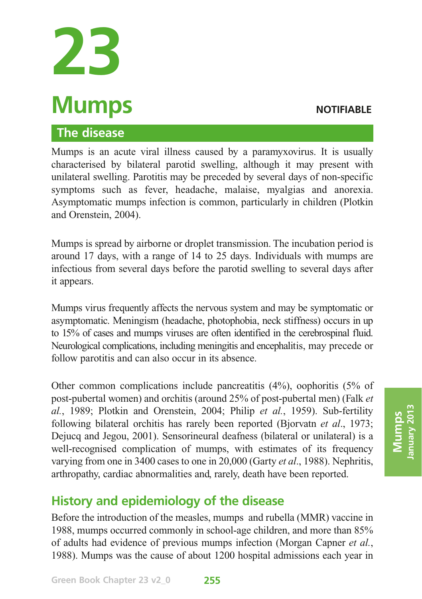# **23**

## **Mumps** NOTIFIABLE

#### **The disease**

Mumps is an acute viral illness caused by a paramyxovirus. It is usually characterised by bilateral parotid swelling, although it may present with unilateral swelling. Parotitis may be preceded by several days of non-specific symptoms such as fever, headache, malaise, myalgias and anorexia. Asymptomatic mumps infection is common, particularly in children (Plotkin and Orenstein, 2004).

Mumps is spread by airborne or droplet transmission. The incubation period is around 17 days, with a range of 14 to 25 days. Individuals with mumps are infectious from several days before the parotid swelling to several days after it appears.

Mumps virus frequently affects the nervous system and may be symptomatic or asymptomatic. Meningism (headache, photophobia, neck stiffness) occurs in up to 15% of cases and mumps viruses are often identified in the cerebrospinal fluid. Neurological complications, including meningitis and encephalitis, may precede or follow parotitis and can also occur in its absence.

Other common complications include pancreatitis (4%), oophoritis (5% of post-pubertal women) and orchitis (around 25% of post-pubertal men) (Falk *et al.*, 1989; Plotkin and Orenstein, 2004; Philip *et al.*, 1959). Sub-fertility following bilateral orchitis has rarely been reported (Bjorvatn *et al*., 1973; Dejucq and Jegou, 2001). Sensorineural deafness (bilateral or unilateral) is a well-recognised complication of mumps, with estimates of its frequency varying from one in 3400 cases to one in 20,000 (Garty *et al*., 1988). Nephritis, arthropathy, cardiac abnormalities and, rarely, death have been reported.

#### **History and epidemiology of the disease**

Before the introduction of the measles, mumps and rubella (MMR) vaccine in 1988, mumps occurred commonly in school-age children, and more than 85% of adults had evidence of previous mumps infection (Morgan Capner *et al.*, 1988). Mumps was the cause of about 1200 hospital admissions each year in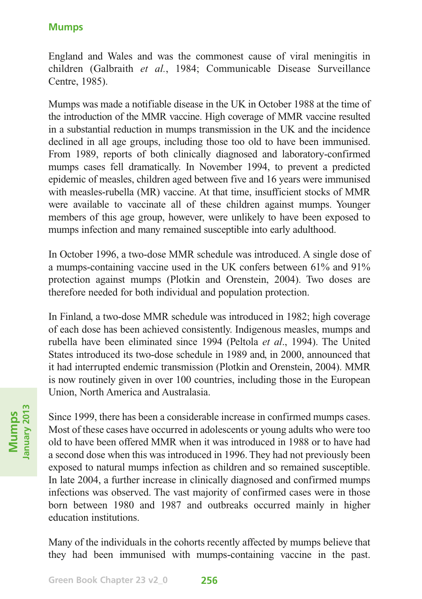England and Wales and was the commonest cause of viral meningitis in children (Galbraith *et al.*, 1984; Communicable Disease Surveillance Centre, 1985).

Mumps was made a notifiable disease in the UK in October 1988 at the time of the introduction of the MMR vaccine. High coverage of MMR vaccine resulted in a substantial reduction in mumps transmission in the UK and the incidence declined in all age groups, including those too old to have been immunised. From 1989, reports of both clinically diagnosed and laboratory-confirmed mumps cases fell dramatically. In November 1994, to prevent a predicted epidemic of measles, children aged between five and 16 years were immunised with measles-rubella (MR) vaccine. At that time, insufficient stocks of MMR were available to vaccinate all of these children against mumps. Younger members of this age group, however, were unlikely to have been exposed to mumps infection and many remained susceptible into early adulthood.

In October 1996, a two-dose MMR schedule was introduced. A single dose of a mumps-containing vaccine used in the UK confers between 61% and 91% protection against mumps (Plotkin and Orenstein, 2004). Two doses are therefore needed for both individual and population protection.

In Finland, a two-dose MMR schedule was introduced in 1982; high coverage of each dose has been achieved consistently. Indigenous measles, mumps and rubella have been eliminated since 1994 (Peltola *et al*., 1994). The United States introduced its two-dose schedule in 1989 and, in 2000, announced that it had interrupted endemic transmission (Plotkin and Orenstein, 2004). MMR is now routinely given in over 100 countries, including those in the European Union, North America and Australasia.

Since 1999, there has been a considerable increase in confirmed mumps cases. Most of these cases have occurred in adolescents or young adults who were too old to have been offered MMR when it was introduced in 1988 or to have had a second dose when this was introduced in 1996. They had not previously been exposed to natural mumps infection as children and so remained susceptible. In late 2004, a further increase in clinically diagnosed and confirmed mumps infections was observed. The vast majority of confirmed cases were in those born between 1980 and 1987 and outbreaks occurred mainly in higher education institutions.

Many of the individuals in the cohorts recently affected by mumps believe that they had been immunised with mumps-containing vaccine in the past.

**January 2013**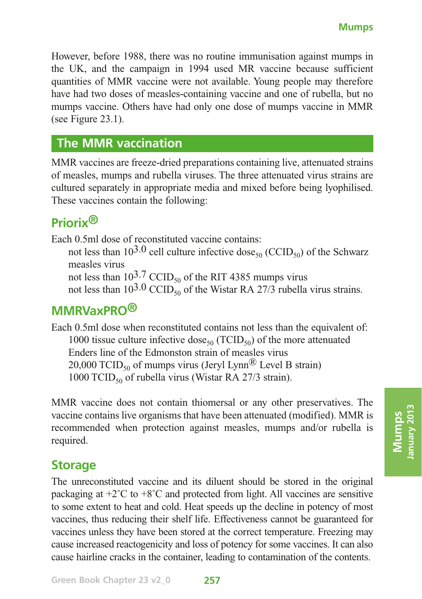However, before 1988, there was no routine immunisation against mumps in the UK, and the campaign in 1994 used MR vaccine because sufficient quantities of MMR vaccine were not available. Young people may therefore have had two doses of measles-containing vaccine and one of rubella, but no mumps vaccine. Others have had only one dose of mumps vaccine in MMR (see Figure 23.1).

#### **The MMR vaccination**

MMR vaccines are freeze-dried preparations containing live, attenuated strains of measles, mumps and rubella viruses. The three attenuated virus strains are cultured separately in appropriate media and mixed before being lyophilised. These vaccines contain the following:

#### **Priorix®**

Each 0.5ml dose of reconstituted vaccine contains: not less than 10<sup>3.0</sup> cell culture infective dose<sub>50</sub> (CCID<sub>50</sub>) of the Schwarz measles virus not less than  $10^{3.7}$  CCID<sub>50</sub> of the RIT 4385 mumps virus not less than  $10^{3.0}$  CCID<sub>50</sub> of the Wistar RA 27/3 rubella virus strains.

#### **MMRVaxPRO®**

Each 0.5ml dose when reconstituted contains not less than the equivalent of: 1000 tissue culture infective dose<sub>50</sub> (TCID<sub>50</sub>) of the more attenuated Enders line of the Edmonston strain of measles virus 20,000 TCID<sub>50</sub> of mumps virus (Jeryl Lynn<sup>®</sup> Level B strain) 1000 TCID<sub>50</sub> of rubella virus (Wistar RA 27/3 strain).

MMR vaccine does not contain thiomersal or any other preservatives. The vaccine contains live organisms that have been attenuated (modified). MMR is recommended when protection against measles, mumps and/or rubella is required.

#### **Storage**

The unreconstituted vaccine and its diluent should be stored in the original packaging at  $+2^{\circ}$ C to  $+8^{\circ}$ C and protected from light. All vaccines are sensitive to some extent to heat and cold. Heat speeds up the decline in potency of most vaccines, thus reducing their shelf life. Effectiveness cannot be guaranteed for vaccines unless they have been stored at the correct temperature. Freezing may cause increased reactogenicity and loss of potency for some vaccines. It can also cause hairline cracks in the container, leading to contamination of the contents.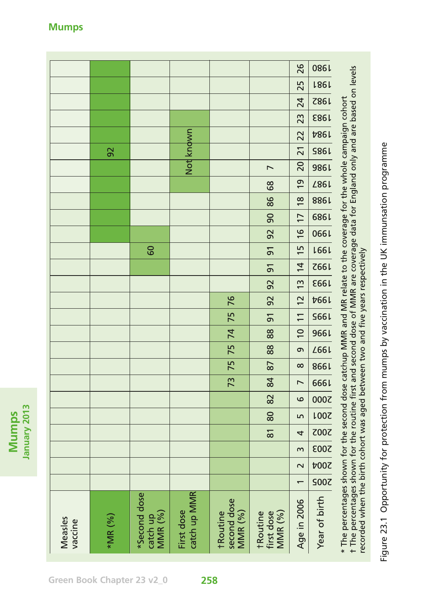|                    |              |                                     |                            |                                           |                                                 | 26                | 0861                     |                                                                                                                                                                                                                                                                                                                                           |
|--------------------|--------------|-------------------------------------|----------------------------|-------------------------------------------|-------------------------------------------------|-------------------|--------------------------|-------------------------------------------------------------------------------------------------------------------------------------------------------------------------------------------------------------------------------------------------------------------------------------------------------------------------------------------|
|                    |              |                                     |                            |                                           |                                                 | $\overline{25}$   | $\overline{1861}$        |                                                                                                                                                                                                                                                                                                                                           |
|                    |              |                                     |                            |                                           |                                                 | $\overline{24}$   | $\overline{2861}$        |                                                                                                                                                                                                                                                                                                                                           |
|                    |              |                                     |                            |                                           |                                                 | $\frac{23}{ }$    | $\frac{1}{2861}$         |                                                                                                                                                                                                                                                                                                                                           |
|                    |              |                                     |                            |                                           |                                                 | $\overline{22}$   | $\overline{v}$ 861       |                                                                                                                                                                                                                                                                                                                                           |
|                    | 92           |                                     | Not known                  |                                           |                                                 | $\overline{21}$   | <b>S861</b>              |                                                                                                                                                                                                                                                                                                                                           |
|                    |              |                                     |                            |                                           | $\overline{a}$                                  | $\overline{50}$   | 986L                     |                                                                                                                                                                                                                                                                                                                                           |
|                    |              |                                     |                            |                                           | $rac{8}{60}$                                    | $\overline{9}$    | $\overline{2861}$        |                                                                                                                                                                                                                                                                                                                                           |
|                    |              |                                     |                            |                                           | $\frac{86}{ }$                                  | $\overline{18}$   | 886L                     |                                                                                                                                                                                                                                                                                                                                           |
|                    |              |                                     |                            |                                           | 92   90                                         | $\overline{17}$   | 686 L                    |                                                                                                                                                                                                                                                                                                                                           |
|                    |              |                                     |                            |                                           |                                                 | $\frac{16}{2}$    | 066 L                    |                                                                                                                                                                                                                                                                                                                                           |
|                    |              | 60                                  |                            |                                           | $\frac{1}{91}$                                  | $\frac{15}{2}$    | $\overline{1661}$        |                                                                                                                                                                                                                                                                                                                                           |
|                    |              |                                     |                            |                                           | $\overline{91}$                                 |                   | $\overline{2661}$        |                                                                                                                                                                                                                                                                                                                                           |
|                    |              |                                     |                            |                                           | 92   92                                         |                   | <b>E661</b>              |                                                                                                                                                                                                                                                                                                                                           |
|                    |              |                                     |                            | 76                                        |                                                 | 11   12   13   14 | <b>7661</b>              |                                                                                                                                                                                                                                                                                                                                           |
|                    |              |                                     |                            | $\overline{75}$                           | $\frac{1}{91}$                                  |                   | 566l                     |                                                                                                                                                                                                                                                                                                                                           |
|                    |              |                                     |                            | 75   75   74                              | $\overline{\frac{88}{}}$                        | 10                | 966L                     |                                                                                                                                                                                                                                                                                                                                           |
|                    |              |                                     |                            |                                           | $\overline{\frac{88}{}}$                        | $\overline{9}$    | 2661                     |                                                                                                                                                                                                                                                                                                                                           |
|                    |              |                                     |                            |                                           | $\overline{8}$                                  | $\infty$          | 866L                     |                                                                                                                                                                                                                                                                                                                                           |
|                    |              |                                     |                            | $\overline{73}$                           | $\overline{84}$                                 | $\overline{a}$    | 666 L                    |                                                                                                                                                                                                                                                                                                                                           |
|                    |              |                                     |                            |                                           | $\overline{82}$                                 | o                 | $\overline{000z}$        |                                                                                                                                                                                                                                                                                                                                           |
|                    |              |                                     |                            |                                           | $\overline{80}$                                 | m                 | $\overline{100z}$        |                                                                                                                                                                                                                                                                                                                                           |
|                    |              |                                     |                            |                                           | $\overline{8}$                                  | $\overline{a}$    | $\overline{z}$ 00Z       |                                                                                                                                                                                                                                                                                                                                           |
|                    |              |                                     |                            |                                           |                                                 | $\mathsf{m}$      | $\overline{\text{2002}}$ |                                                                                                                                                                                                                                                                                                                                           |
|                    |              |                                     |                            |                                           |                                                 | $\sim$            | $\overline{600z}$        |                                                                                                                                                                                                                                                                                                                                           |
|                    |              |                                     |                            |                                           |                                                 | $\overline{ }$    | 5002                     |                                                                                                                                                                                                                                                                                                                                           |
| Measles<br>vaccine | $*$ MR $(%)$ | *Second dose<br>MMR (%)<br>catch up | catch up MMR<br>First dose | second dose<br><b>MMR (%)</b><br>tRoutine | first dose<br><b>tRoutine</b><br><b>MMR (%)</b> | Age in 2006       | Year of birth            | t The percentages shown for the routine first and second dose of MMR are coverage data for England only and are based on levels<br>* The percentages shown for the second dose catchup MMR and MR relate to the coverage for the whole campaign cohort<br>recorded when the birth cohort was aged between two and five vears respectively |

**Mumps**<br>January 2013 **January 2013**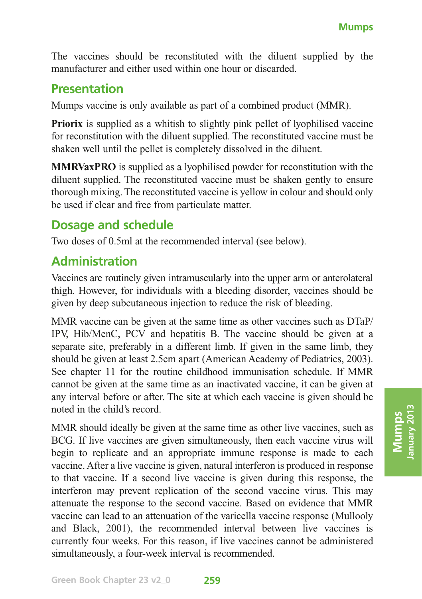The vaccines should be reconstituted with the diluent supplied by the manufacturer and either used within one hour or discarded.

#### **Presentation**

Mumps vaccine is only available as part of a combined product (MMR).

**Priorix** is supplied as a whitish to slightly pink pellet of lyophilised vaccine for reconstitution with the diluent supplied. The reconstituted vaccine must be shaken well until the pellet is completely dissolved in the diluent.

**MMRVaxPRO** is supplied as a lyophilised powder for reconstitution with the diluent supplied. The reconstituted vaccine must be shaken gently to ensure thorough mixing. The reconstituted vaccine is yellow in colour and should only be used if clear and free from particulate matter.

### **Dosage and schedule**

Two doses of 0.5ml at the recommended interval (see below).

### **Administration**

Vaccines are routinely given intramuscularly into the upper arm or anterolateral thigh. However, for individuals with a bleeding disorder, vaccines should be given by deep subcutaneous injection to reduce the risk of bleeding.

MMR vaccine can be given at the same time as other vaccines such as DTaP/ IPV, Hib/MenC, PCV and hepatitis B. The vaccine should be given at a separate site, preferably in a different limb. If given in the same limb, they should be given at least 2.5cm apart (American Academy of Pediatrics, 2003). See chapter 11 for the routine childhood immunisation schedule. If MMR cannot be given at the same time as an inactivated vaccine, it can be given at any interval before or after. The site at which each vaccine is given should be noted in the child's record.

MMR should ideally be given at the same time as other live vaccines, such as BCG. If live vaccines are given simultaneously, then each vaccine virus will begin to replicate and an appropriate immune response is made to each vaccine. After a live vaccine is given, natural interferon is produced in response to that vaccine. If a second live vaccine is given during this response, the interferon may prevent replication of the second vaccine virus. This may attenuate the response to the second vaccine. Based on evidence that MMR vaccine can lead to an attenuation of the varicella vaccine response (Mullooly and Black, 2001), the recommended interval between live vaccines is currently four weeks. For this reason, if live vaccines cannot be administered simultaneously, a four-week interval is recommended.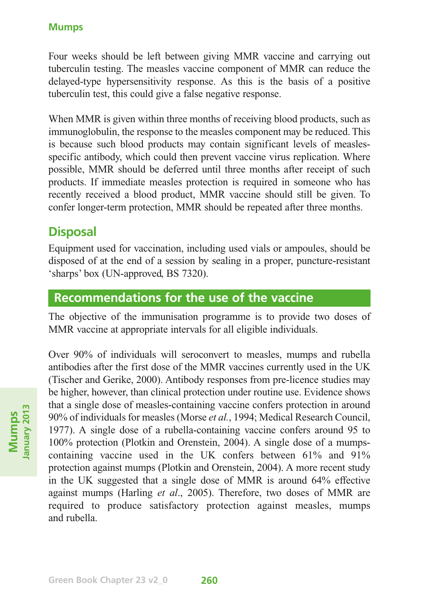Four weeks should be left between giving MMR vaccine and carrying out tuberculin testing. The measles vaccine component of MMR can reduce the delayed-type hypersensitivity response. As this is the basis of a positive tuberculin test, this could give a false negative response.

When MMR is given within three months of receiving blood products, such as immunoglobulin, the response to the measles component may be reduced. This is because such blood products may contain significant levels of measlesspecific antibody, which could then prevent vaccine virus replication. Where possible, MMR should be deferred until three months after receipt of such products. If immediate measles protection is required in someone who has recently received a blood product, MMR vaccine should still be given. To confer longer-term protection, MMR should be repeated after three months.

#### **Disposal**

Equipment used for vaccination, including used vials or ampoules, should be disposed of at the end of a session by sealing in a proper, puncture-resistant 'sharps' box (UN-approved, BS 7320).

#### **Recommendations for the use of the vaccine**

The objective of the immunisation programme is to provide two doses of MMR vaccine at appropriate intervals for all eligible individuals.

Over 90% of individuals will seroconvert to measles, mumps and rubella antibodies after the first dose of the MMR vaccines currently used in the UK (Tischer and Gerike, 2000). Antibody responses from pre-licence studies may be higher, however, than clinical protection under routine use. Evidence shows that a single dose of measles-containing vaccine confers protection in around 90% of individuals for measles (Morse *et al.*, 1994; Medical Research Council, 1977). A single dose of a rubella-containing vaccine confers around 95 to 100% protection (Plotkin and Orenstein, 2004). A single dose of a mumpscontaining vaccine used in the UK confers between 61% and 91% protection against mumps (Plotkin and Orenstein, 2004). A more recent study in the UK suggested that a single dose of MMR is around 64% effective against mumps (Harling *et al*., 2005). Therefore, two doses of MMR are required to produce satisfactory protection against measles, mumps and rubella.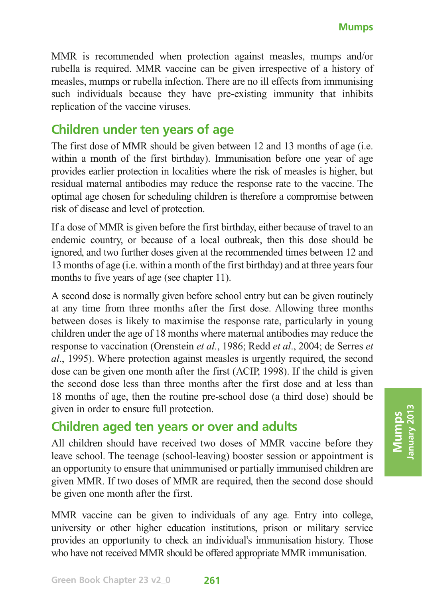MMR is recommended when protection against measles, mumps and/or rubella is required. MMR vaccine can be given irrespective of a history of measles, mumps or rubella infection. There are no ill effects from immunising such individuals because they have pre-existing immunity that inhibits replication of the vaccine viruses.

#### **Children under ten years of age**

The first dose of MMR should be given between 12 and 13 months of age (i.e. within a month of the first birthday). Immunisation before one year of age provides earlier protection in localities where the risk of measles is higher, but residual maternal antibodies may reduce the response rate to the vaccine. The optimal age chosen for scheduling children is therefore a compromise between risk of disease and level of protection.

If a dose of MMR is given before the first birthday, either because of travel to an endemic country, or because of a local outbreak, then this dose should be ignored, and two further doses given at the recommended times between 12 and 13 months of age (i.e. within a month of the first birthday) and at three years four months to five years of age (see chapter 11).

A second dose is normally given before school entry but can be given routinely at any time from three months after the first dose. Allowing three months between doses is likely to maximise the response rate, particularly in young children under the age of 18 months where maternal antibodies may reduce the response to vaccination (Orenstein *et al.*, 1986; Redd *et al*., 2004; de Serres *et al*., 1995). Where protection against measles is urgently required, the second dose can be given one month after the first (ACIP, 1998). If the child is given the second dose less than three months after the first dose and at less than 18 months of age, then the routine pre-school dose (a third dose) should be given in order to ensure full protection.

#### **Children aged ten years or over and adults**

All children should have received two doses of MMR vaccine before they leave school. The teenage (school-leaving) booster session or appointment is an opportunity to ensure that unimmunised or partially immunised children are given MMR. If two doses of MMR are required, then the second dose should be given one month after the first.

MMR vaccine can be given to individuals of any age. Entry into college, university or other higher education institutions, prison or military service provides an opportunity to check an individual's immunisation history. Those who have not received MMR should be offered appropriate MMR immunisation.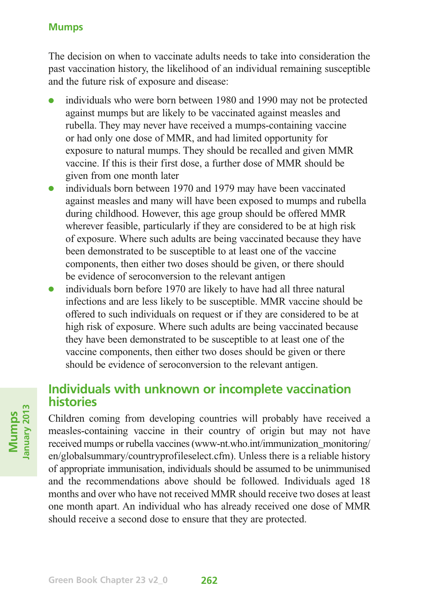The decision on when to vaccinate adults needs to take into consideration the past vaccination history, the likelihood of an individual remaining susceptible and the future risk of exposure and disease:

- individuals who were born between 1980 and 1990 may not be protected against mumps but are likely to be vaccinated against measles and rubella. They may never have received a mumps-containing vaccine or had only one dose of MMR, and had limited opportunity for exposure to natural mumps. They should be recalled and given MMR vaccine. If this is their first dose, a further dose of MMR should be given from one month later
- individuals born between 1970 and 1979 may have been vaccinated against measles and many will have been exposed to mumps and rubella during childhood. However, this age group should be offered MMR wherever feasible, particularly if they are considered to be at high risk of exposure. Where such adults are being vaccinated because they have been demonstrated to be susceptible to at least one of the vaccine components, then either two doses should be given, or there should be evidence of seroconversion to the relevant antigen
- individuals born before 1970 are likely to have had all three natural infections and are less likely to be susceptible. MMR vaccine should be offered to such individuals on request or if they are considered to be at high risk of exposure. Where such adults are being vaccinated because they have been demonstrated to be susceptible to at least one of the vaccine components, then either two doses should be given or there should be evidence of seroconversion to the relevant antigen.

#### **Individuals with unknown or incomplete vaccination histories**

Children coming from developing countries will probably have received a measles-containing vaccine in their country of origin but may not have received mumps or rubella vaccines (www-nt.who.int/immunization\_monitoring/ en/globalsummary/countryprofileselect.cfm). Unless there is a reliable history of appropriate immunisation, individuals should be assumed to be unimmunised and the recommendations above should be followed. Individuals aged 18 months and over who have not received MMR should receive two doses at least one month apart. An individual who has already received one dose of MMR should receive a second dose to ensure that they are protected.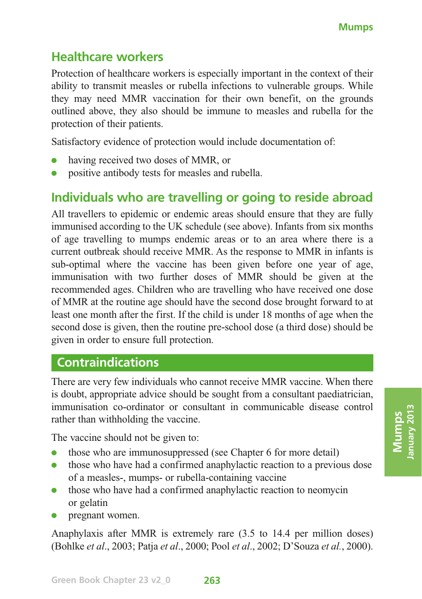#### **Healthcare workers**

Protection of healthcare workers is especially important in the context of their ability to transmit measles or rubella infections to vulnerable groups. While they may need MMR vaccination for their own benefit, on the grounds outlined above, they also should be immune to measles and rubella for the protection of their patients.

Satisfactory evidence of protection would include documentation of:

- having received two doses of MMR, or
- positive antibody tests for measles and rubella.

#### **Individuals who are travelling or going to reside abroad**

All travellers to epidemic or endemic areas should ensure that they are fully immunised according to the UK schedule (see above). Infants from six months of age travelling to mumps endemic areas or to an area where there is a current outbreak should receive MMR. As the response to MMR in infants is sub-optimal where the vaccine has been given before one year of age, immunisation with two further doses of MMR should be given at the recommended ages. Children who are travelling who have received one dose of MMR at the routine age should have the second dose brought forward to at least one month after the first. If the child is under 18 months of age when the second dose is given, then the routine pre-school dose (a third dose) should be given in order to ensure full protection.

#### **Contraindications**

There are very few individuals who cannot receive MMR vaccine. When there is doubt, appropriate advice should be sought from a consultant paediatrician, immunisation co-ordinator or consultant in communicable disease control rather than withholding the vaccine.

The vaccine should not be given to:

- those who are immunosuppressed (see Chapter 6 for more detail)
- those who have had a confirmed anaphylactic reaction to a previous dose of a measles-, mumps- or rubella-containing vaccine
- those who have had a confirmed anaphylactic reaction to neomycin or gelatin
- pregnant women.

Anaphylaxis after MMR is extremely rare (3.5 to 14.4 per million doses) (Bohlke *et al*., 2003; Patja *et al*., 2000; Pool *et al*., 2002; D'Souza *et al.*, 2000).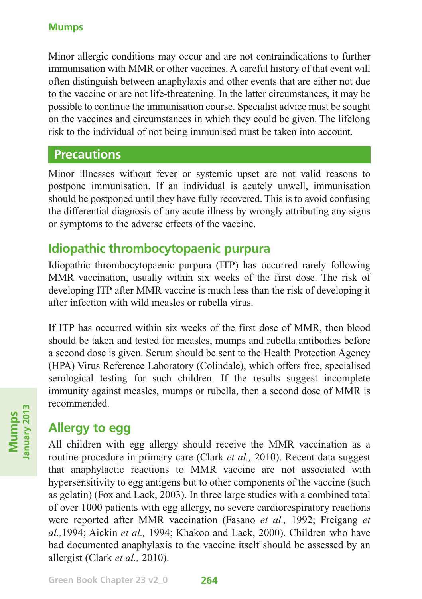Minor allergic conditions may occur and are not contraindications to further immunisation with MMR or other vaccines. A careful history of that event will often distinguish between anaphylaxis and other events that are either not due to the vaccine or are not life-threatening. In the latter circumstances, it may be possible to continue the immunisation course. Specialist advice must be sought on the vaccines and circumstances in which they could be given. The lifelong risk to the individual of not being immunised must be taken into account.

#### **Precautions**

Minor illnesses without fever or systemic upset are not valid reasons to postpone immunisation. If an individual is acutely unwell, immunisation should be postponed until they have fully recovered. This is to avoid confusing the differential diagnosis of any acute illness by wrongly attributing any signs or symptoms to the adverse effects of the vaccine.

#### **Idiopathic thrombocytopaenic purpura**

Idiopathic thrombocytopaenic purpura (ITP) has occurred rarely following MMR vaccination, usually within six weeks of the first dose. The risk of developing ITP after MMR vaccine is much less than the risk of developing it after infection with wild measles or rubella virus.

If ITP has occurred within six weeks of the first dose of MMR, then blood should be taken and tested for measles, mumps and rubella antibodies before a second dose is given. Serum should be sent to the Health Protection Agency (HPA) Virus Reference Laboratory (Colindale), which offers free, specialised serological testing for such children. If the results suggest incomplete immunity against measles, mumps or rubella, then a second dose of MMR is recommended.

#### **Allergy to egg**

All children with egg allergy should receive the MMR vaccination as a routine procedure in primary care (Clark *et al.,* 2010). Recent data suggest that anaphylactic reactions to MMR vaccine are not associated with hypersensitivity to egg antigens but to other components of the vaccine (such as gelatin) (Fox and Lack, 2003). In three large studies with a combined total of over 1000 patients with egg allergy, no severe cardiorespiratory reactions were reported after MMR vaccination (Fasano *et al.,* 1992; Freigang *et al.,*1994; Aickin *et al.,* 1994; Khakoo and Lack, 2000). Children who have had documented anaphylaxis to the vaccine itself should be assessed by an allergist (Clark *et al.,* 2010).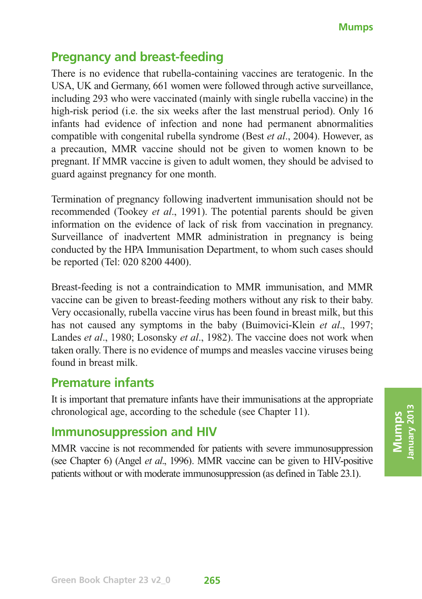### **Pregnancy and breast-feeding**

There is no evidence that rubella-containing vaccines are teratogenic. In the USA, UK and Germany, 661 women were followed through active surveillance, including 293 who were vaccinated (mainly with single rubella vaccine) in the high-risk period (i.e. the six weeks after the last menstrual period). Only 16 infants had evidence of infection and none had permanent abnormalities compatible with congenital rubella syndrome (Best *et al*., 2004). However, as a precaution, MMR vaccine should not be given to women known to be pregnant. If MMR vaccine is given to adult women, they should be advised to guard against pregnancy for one month.

Termination of pregnancy following inadvertent immunisation should not be recommended (Tookey *et al*., 1991). The potential parents should be given information on the evidence of lack of risk from vaccination in pregnancy. Surveillance of inadvertent MMR administration in pregnancy is being conducted by the HPA Immunisation Department, to whom such cases should be reported (Tel: 020 8200 4400).

Breast-feeding is not a contraindication to MMR immunisation, and MMR vaccine can be given to breast-feeding mothers without any risk to their baby. Very occasionally, rubella vaccine virus has been found in breast milk, but this has not caused any symptoms in the baby (Buimovici-Klein *et al*., 1997; Landes *et al*., 1980; Losonsky *et al*., 1982). The vaccine does not work when taken orally. There is no evidence of mumps and measles vaccine viruses being found in breast milk.

#### **Premature infants**

It is important that premature infants have their immunisations at the appropriate chronological age, according to the schedule (see Chapter 11).

#### **Immunosuppression and HIV**

MMR vaccine is not recommended for patients with severe immunosuppression (see Chapter 6) (Angel *et al*., 1996). MMR vaccine can be given to HIV-positive patients without or with moderate immunosuppression (as defined in Table 23.1).

**Mumps January 2013**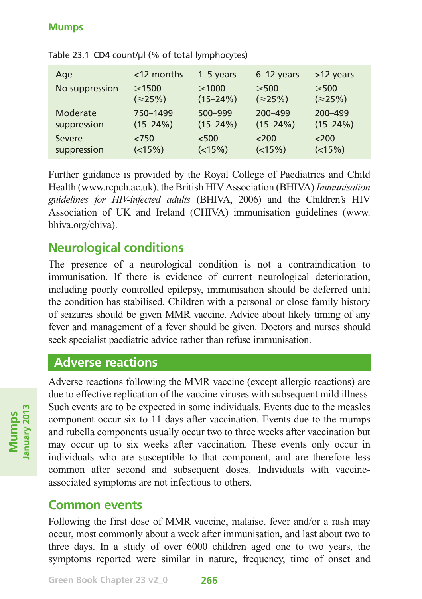| Age            | <12 months    | $1-5$ years  | 6-12 years      | >12 years       |
|----------------|---------------|--------------|-----------------|-----------------|
| No suppression | $\geq 1500$   | $\geq 1000$  | $\geqslant$ 500 | $\geqslant$ 500 |
|                | $(\ge 25%)$   | $(15 - 24%)$ | $(\ge 25%)$     | $(\ge 25%)$     |
| Moderate       | 750-1499      | 500-999      | 200-499         | 200-499         |
| suppression    | $(15 - 24\%)$ | $(15 - 24%)$ | $(15 - 24%)$    | $(15 - 24%)$    |
| Severe         | < 750         | < 500        | 200             | 200             |
| suppression    | $(<15\%)$     | $(<15\%)$    | $(<15\%)$       | $(<15\%)$       |

Table 23.1 CD4 count/ul (% of total lymphocytes)

Further guidance is provided by the Royal College of Paediatrics and Child Health (www.rcpch.ac.uk), the British HIV Association (BHIVA) *Immunisation guidelines for HIV-infected adults* (BHIVA, 2006) and the Children's HIV Association of UK and Ireland (CHIVA) immunisation guidelines (www. bhiva.org/chiva).

#### **Neurological conditions**

The presence of a neurological condition is not a contraindication to immunisation. If there is evidence of current neurological deterioration, including poorly controlled epilepsy, immunisation should be deferred until the condition has stabilised. Children with a personal or close family history of seizures should be given MMR vaccine. Advice about likely timing of any fever and management of a fever should be given. Doctors and nurses should seek specialist paediatric advice rather than refuse immunisation.

#### **Adverse reactions**

Adverse reactions following the MMR vaccine (except allergic reactions) are due to effective replication of the vaccine viruses with subsequent mild illness. Such events are to be expected in some individuals. Events due to the measles component occur six to 11 days after vaccination. Events due to the mumps and rubella components usually occur two to three weeks after vaccination but may occur up to six weeks after vaccination. These events only occur in individuals who are susceptible to that component, and are therefore less common after second and subsequent doses. Individuals with vaccineassociated symptoms are not infectious to others.

#### **Common events**

**Mumps**<br>anuary 2013 **January 2013**

> Following the first dose of MMR vaccine, malaise, fever and/or a rash may occur, most commonly about a week after immunisation, and last about two to three days. In a study of over 6000 children aged one to two years, the symptoms reported were similar in nature, frequency, time of onset and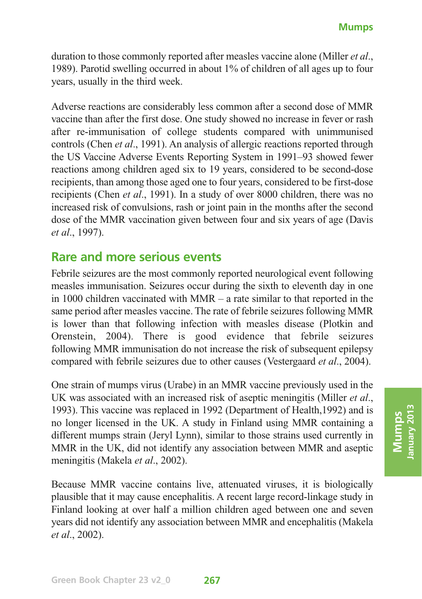duration to those commonly reported after measles vaccine alone (Miller *et al*., 1989). Parotid swelling occurred in about 1% of children of all ages up to four years, usually in the third week.

Adverse reactions are considerably less common after a second dose of MMR vaccine than after the first dose. One study showed no increase in fever or rash after re-immunisation of college students compared with unimmunised controls (Chen *et al*., 1991). An analysis of allergic reactions reported through the US Vaccine Adverse Events Reporting System in 1991–93 showed fewer reactions among children aged six to 19 years, considered to be second-dose recipients, than among those aged one to four years, considered to be first-dose recipients (Chen *et al*., 1991). In a study of over 8000 children, there was no increased risk of convulsions, rash or joint pain in the months after the second dose of the MMR vaccination given between four and six years of age (Davis *et al*., 1997).

#### **Rare and more serious events**

Febrile seizures are the most commonly reported neurological event following measles immunisation. Seizures occur during the sixth to eleventh day in one in 1000 children vaccinated with MMR – a rate similar to that reported in the same period after measles vaccine. The rate of febrile seizures following MMR is lower than that following infection with measles disease (Plotkin and Orenstein, 2004). There is good evidence that febrile seizures following MMR immunisation do not increase the risk of subsequent epilepsy compared with febrile seizures due to other causes (Vestergaard *et al*., 2004).

One strain of mumps virus (Urabe) in an MMR vaccine previously used in the UK was associated with an increased risk of aseptic meningitis (Miller *et al*., 1993). This vaccine was replaced in 1992 (Department of Health,1992) and is no longer licensed in the UK. A study in Finland using MMR containing a different mumps strain (Jeryl Lynn), similar to those strains used currently in MMR in the UK, did not identify any association between MMR and aseptic meningitis (Makela *et al*., 2002).

Because MMR vaccine contains live, attenuated viruses, it is biologically plausible that it may cause encephalitis. A recent large record-linkage study in Finland looking at over half a million children aged between one and seven years did not identify any association between MMR and encephalitis (Makela *et al*., 2002).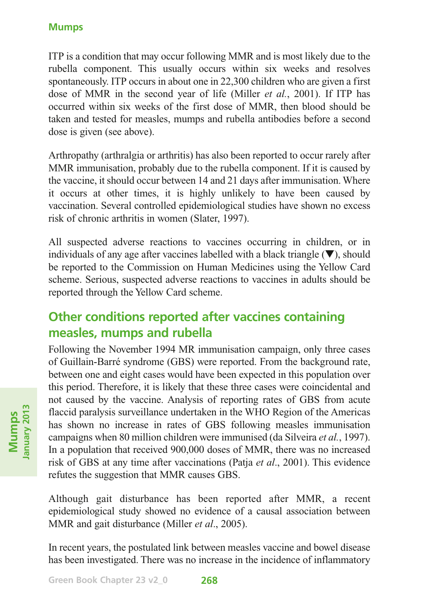ITP is a condition that may occur following MMR and is most likely due to the rubella component. This usually occurs within six weeks and resolves spontaneously. ITP occurs in about one in 22,300 children who are given a first dose of MMR in the second year of life (Miller *et al.*, 2001). If ITP has occurred within six weeks of the first dose of MMR, then blood should be taken and tested for measles, mumps and rubella antibodies before a second dose is given (see above).

Arthropathy (arthralgia or arthritis) has also been reported to occur rarely after MMR immunisation, probably due to the rubella component. If it is caused by the vaccine, it should occur between 14 and 21 days after immunisation. Where it occurs at other times, it is highly unlikely to have been caused by vaccination. Several controlled epidemiological studies have shown no excess risk of chronic arthritis in women (Slater, 1997).

All suspected adverse reactions to vaccines occurring in children, or in individuals of any age after vaccines labelled with a black triangle  $(\blacktriangledown)$ , should be reported to the Commission on Human Medicines using the Yellow Card scheme. Serious, suspected adverse reactions to vaccines in adults should be reported through the Yellow Card scheme.

#### **Other conditions reported after vaccines containing measles, mumps and rubella**

Following the November 1994 MR immunisation campaign, only three cases of Guillain-Barré syndrome (GBS) were reported. From the background rate, between one and eight cases would have been expected in this population over this period. Therefore, it is likely that these three cases were coincidental and not caused by the vaccine. Analysis of reporting rates of GBS from acute flaccid paralysis surveillance undertaken in the WHO Region of the Americas has shown no increase in rates of GBS following measles immunisation campaigns when 80 million children were immunised (da Silveira *et al.*, 1997). In a population that received 900,000 doses of MMR, there was no increased risk of GBS at any time after vaccinations (Patja *et al*., 2001). This evidence refutes the suggestion that MMR causes GBS.

Although gait disturbance has been reported after MMR, a recent epidemiological study showed no evidence of a causal association between MMR and gait disturbance (Miller *et al*., 2005).

In recent years, the postulated link between measles vaccine and bowel disease has been investigated. There was no increase in the incidence of inflammatory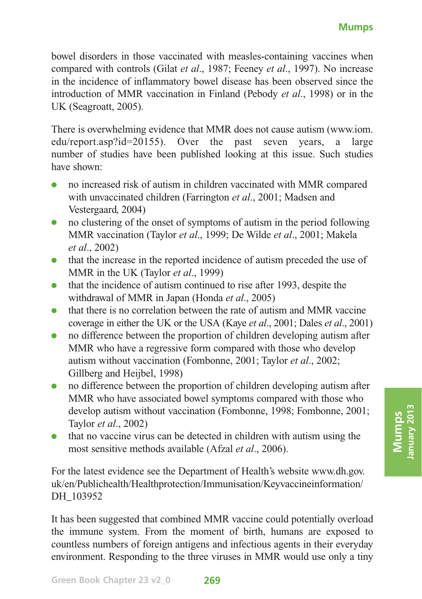bowel disorders in those vaccinated with measles-containing vaccines when compared with controls (Gilat *et al*., 1987; Feeney *et al*., 1997). No increase in the incidence of inflammatory bowel disease has been observed since the introduction of MMR vaccination in Finland (Pebody *et al*., 1998) or in the UK (Seagroatt, 2005).

There is overwhelming evidence that MMR does not cause autism (www.iom. edu/report.asp?id=20155). Over the past seven years, a large number of studies have been published looking at this issue. Such studies have shown:

- no increased risk of autism in children vaccinated with MMR compared with unvaccinated children (Farrington *et al*., 2001; Madsen and Vestergaard, 2004)
- no clustering of the onset of symptoms of autism in the period following MMR vaccination (Taylor *et al*., 1999; De Wilde *et al*., 2001; Makela *et al*., 2002)
- that the increase in the reported incidence of autism preceded the use of MMR in the UK (Taylor *et al*., 1999)
- that the incidence of autism continued to rise after 1993, despite the withdrawal of MMR in Japan (Honda *et al*., 2005)
- that there is no correlation between the rate of autism and MMR vaccine coverage in either the UK or the USA (Kaye *et al*., 2001; Dales *et al*., 2001)
- no difference between the proportion of children developing autism after MMR who have a regressive form compared with those who develop autism without vaccination (Fombonne, 2001; Taylor *et al*., 2002; Gillberg and Heijbel, 1998)
- no difference between the proportion of children developing autism after MMR who have associated bowel symptoms compared with those who develop autism without vaccination (Fombonne, 1998; Fombonne, 2001; Taylor *et al*., 2002)
- that no vaccine virus can be detected in children with autism using the most sensitive methods available (Afzal *et al*., 2006).

For the latest evidence see the Department of Health's website www.dh.gov. uk/en/Publichealth/Healthprotection/Immunisation/Keyvaccineinformation/ DH 103952

It has been suggested that combined MMR vaccine could potentially overload the immune system. From the moment of birth, humans are exposed to countless numbers of foreign antigens and infectious agents in their everyday environment. Responding to the three viruses in MMR would use only a tiny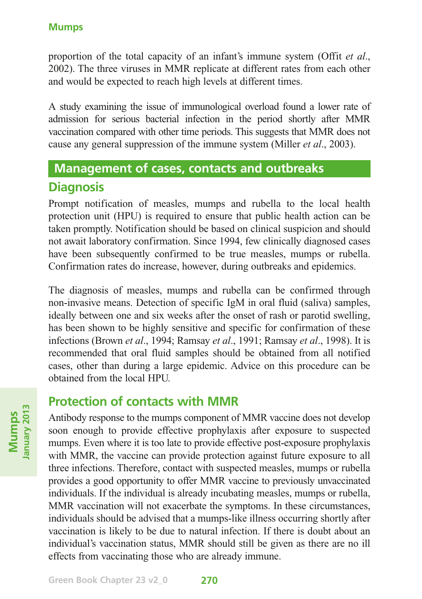proportion of the total capacity of an infant's immune system (Offit *et al*., 2002). The three viruses in MMR replicate at different rates from each other and would be expected to reach high levels at different times.

A study examining the issue of immunological overload found a lower rate of admission for serious bacterial infection in the period shortly after MMR vaccination compared with other time periods. This suggests that MMR does not cause any general suppression of the immune system (Miller *et al*., 2003).

#### **Management of cases, contacts and outbreaks**

#### **Diagnosis**

Prompt notification of measles, mumps and rubella to the local health protection unit (HPU) is required to ensure that public health action can be taken promptly. Notification should be based on clinical suspicion and should not await laboratory confirmation. Since 1994, few clinically diagnosed cases have been subsequently confirmed to be true measles, mumps or rubella. Confirmation rates do increase, however, during outbreaks and epidemics.

The diagnosis of measles, mumps and rubella can be confirmed through non-invasive means. Detection of specific IgM in oral fluid (saliva) samples, ideally between one and six weeks after the onset of rash or parotid swelling, has been shown to be highly sensitive and specific for confirmation of these infections (Brown *et al*., 1994; Ramsay *et al*., 1991; Ramsay *et al*., 1998). It is recommended that oral fluid samples should be obtained from all notified cases, other than during a large epidemic. Advice on this procedure can be obtained from the local HPU.

#### **Protection of contacts with MMR**

Antibody response to the mumps component of MMR vaccine does not develop soon enough to provide effective prophylaxis after exposure to suspected mumps. Even where it is too late to provide effective post-exposure prophylaxis with MMR, the vaccine can provide protection against future exposure to all three infections. Therefore, contact with suspected measles, mumps or rubella provides a good opportunity to offer MMR vaccine to previously unvaccinated individuals. If the individual is already incubating measles, mumps or rubella, MMR vaccination will not exacerbate the symptoms. In these circumstances, individuals should be advised that a mumps-like illness occurring shortly after vaccination is likely to be due to natural infection. If there is doubt about an individual's vaccination status, MMR should still be given as there are no ill effects from vaccinating those who are already immune.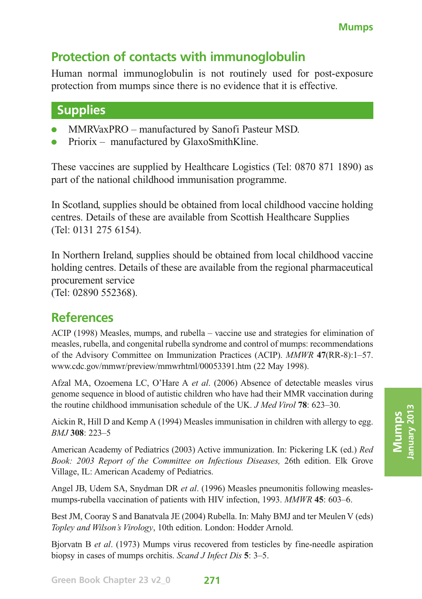#### **Protection of contacts with immunoglobulin**

Human normal immunoglobulin is not routinely used for post-exposure protection from mumps since there is no evidence that it is effective.

#### **Supplies**

- MMRVaxPRO manufactured by Sanofi Pasteur MSD.
- Priorix manufactured by GlaxoSmithKline.

These vaccines are supplied by Healthcare Logistics (Tel: 0870 871 1890) as part of the national childhood immunisation programme.

In Scotland, supplies should be obtained from local childhood vaccine holding centres. Details of these are available from Scottish Healthcare Supplies (Tel: 0131 275 6154).

In Northern Ireland, supplies should be obtained from local childhood vaccine holding centres. Details of these are available from the regional pharmaceutical procurement service

(Tel: 02890 552368).

### **References**

ACIP (1998) Measles, mumps, and rubella – vaccine use and strategies for elimination of measles, rubella, and congenital rubella syndrome and control of mumps: recommendations of the Advisory Committee on Immunization Practices (ACIP). *MMWR* **47**(RR-8):1–57. www.cdc.gov/mmwr/preview/mmwrhtml/00053391.htm (22 May 1998).

Afzal MA, Ozoemena LC, O'Hare A *et al*. (2006) Absence of detectable measles virus genome sequence in blood of autistic children who have had their MMR vaccination during the routine childhood immunisation schedule of the UK. *J Med Virol* **78**: 623–30.

Aickin R, Hill D and Kemp A (1994) Measles immunisation in children with allergy to egg. *BMJ* **308**: 223–5

American Academy of Pediatrics (2003) Active immunization. In: Pickering LK (ed.) *Red Book: 2003 Report of the Committee on Infectious Diseases,* 26th edition. Elk Grove Village, IL: American Academy of Pediatrics.

Angel JB, Udem SA, Snydman DR *et al*. (1996) Measles pneumonitis following measlesmumps-rubella vaccination of patients with HIV infection, 1993. *MMWR* **45**: 603–6.

Best JM, Cooray S and Banatvala JE (2004) Rubella. In: Mahy BMJ and ter Meulen V (eds) *Topley and Wilson's Virology*, 10th edition. London: Hodder Arnold.

Bjorvatn B *et al*. (1973) Mumps virus recovered from testicles by fine-needle aspiration biopsy in cases of mumps orchitis. *Scand J Infect Dis* **5**: 3–5.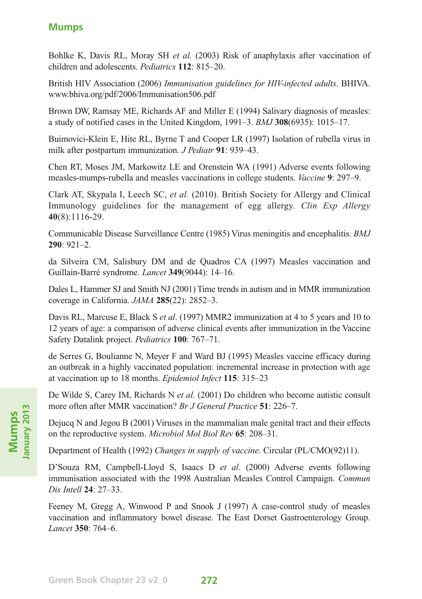Bohlke K, Davis RL, Moray SH *et al.* (2003) Risk of anaphylaxis after vaccination of children and adolescents. *Pediatrics* **112**: 815–20.

British HIV Association (2006) *Immunisation guidelines for HIV-infected adults*. BHIVA. www.bhiva.org/pdf/2006/Immunisation506.pdf

Brown DW, Ramsay ME, Richards AF and Miller E (1994) Salivary diagnosis of measles: a study of notified cases in the United Kingdom, 1991–3. *BMJ* **308**(6935): 1015–17.

Buimovici-Klein E, Hite RL, Byrne T and Cooper LR (1997) Isolation of rubella virus in milk after postpartum immunization. *J Pediatr* **91**: 939–43.

Chen RT, Moses JM, Markowitz LE and Orenstein WA (1991) Adverse events following measles-mumps-rubella and measles vaccinations in college students. *Vaccine* **9**: 297–9.

Clark AT, Skypala I, Leech SC, *et al.* (2010). British Society for Allergy and Clinical Immunology guidelines for the management of egg allergy. *Clin Exp Allergy* **40**(8):1116-29.

Communicable Disease Surveillance Centre (1985) Virus meningitis and encephalitis. *BMJ* **290**: 921–2.

da Silveira CM, Salisbury DM and de Quadros CA (1997) Measles vaccination and Guillain-Barré syndrome. *Lancet* **349**(9044): 14–16.

Dales L, Hammer SJ and Smith NJ (2001) Time trends in autism and in MMR immunization coverage in California. *JAMA* **285**(22): 2852–3.

Davis RL, Marcuse E, Black S *et al*. (1997) MMR2 immunization at 4 to 5 years and 10 to 12 years of age: a comparison of adverse clinical events after immunization in the Vaccine Safety Datalink project. *Pediatrics* **100**: 767–71.

de Serres G, Boulianne N, Meyer F and Ward BJ (1995) Measles vaccine efficacy during an outbreak in a highly vaccinated population: incremental increase in protection with age at vaccination up to 18 months. *Epidemiol Infect* **115**: 315–23

De Wilde S, Carey IM, Richards N *et al.* (2001) Do children who become autistic consult more often after MMR vaccination? *Br J General Practice* **51**: 226–7.

Dejucq N and Jegou B (2001) Viruses in the mammalian male genital tract and their effects on the reproductive system. *Microbiol Mol Biol Rev* **65**: 208–31.

Department of Health (1992) *Changes in supply of vaccine*. Circular (PL/CMO(92)11).

D'Souza RM, Campbell-Lloyd S, Isaacs D *et al*. (2000) Adverse events following immunisation associated with the 1998 Australian Measles Control Campaign. *Commun Dis Intell* **24**: 27–33.

Feeney M, Gregg A, Winwood P and Snook J (1997) A case-control study of measles vaccination and inflammatory bowel disease. The East Dorset Gastroenterology Group. *Lancet* **350**: 764–6.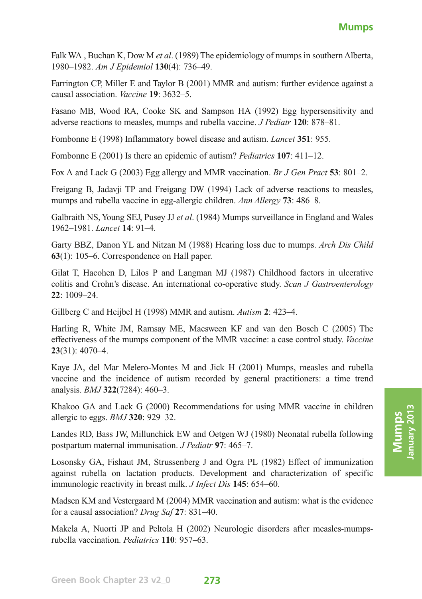Falk WA , Buchan K, Dow M *et al*. (1989) The epidemiology of mumps in southern Alberta, 1980–1982. *Am J Epidemiol* **130**(4): 736–49.

Farrington CP, Miller E and Taylor B (2001) MMR and autism: further evidence against a causal association. *Vaccine* **19**: 3632–5.

Fasano MB, Wood RA, Cooke SK and Sampson HA (1992) Egg hypersensitivity and adverse reactions to measles, mumps and rubella vaccine. *J Pediatr* **120**: 878–81.

Fombonne E (1998) Inflammatory bowel disease and autism. *Lancet* **351**: 955.

Fombonne E (2001) Is there an epidemic of autism? *Pediatrics* **107**: 411–12.

Fox A and Lack G (2003) Egg allergy and MMR vaccination. *Br J Gen Pract* **53**: 801–2.

Freigang B, Jadavji TP and Freigang DW (1994) Lack of adverse reactions to measles, mumps and rubella vaccine in egg-allergic children. *Ann Allergy* **73**: 486–8.

Galbraith NS, Young SEJ, Pusey JJ *et al*. (1984) Mumps surveillance in England and Wales 1962–1981. *Lancet* **14**: 91–4.

Garty BBZ, Danon YL and Nitzan M (1988) Hearing loss due to mumps. *Arch Dis Child* **63**(1): 105–6. Correspondence on Hall paper.

Gilat T, Hacohen D, Lilos P and Langman MJ (1987) Childhood factors in ulcerative colitis and Crohn's disease. An international co-operative study. *Scan J Gastroenterology*  **22**: 1009–24.

Gillberg C and Heijbel H (1998) MMR and autism. *Autism* **2**: 423–4.

Harling R, White JM, Ramsay ME, Macsween KF and van den Bosch C (2005) The effectiveness of the mumps component of the MMR vaccine: a case control study. *Vaccine* **23**(31): 4070–4.

Kaye JA, del Mar Melero-Montes M and Jick H (2001) Mumps, measles and rubella vaccine and the incidence of autism recorded by general practitioners: a time trend analysis. *BMJ* **322**(7284): 460–3.

Khakoo GA and Lack G (2000) Recommendations for using MMR vaccine in children allergic to eggs. *BMJ* **320**: 929–32.

Landes RD, Bass JW, Millunchick EW and Oetgen WJ (1980) Neonatal rubella following postpartum maternal immunisation. *J Pediatr* **97**: 465–7.

Losonsky GA, Fishaut JM, Strussenberg J and Ogra PL (1982) Effect of immunization against rubella on lactation products. Development and characterization of specific immunologic reactivity in breast milk. *J Infect Dis* **145**: 654–60.

Madsen KM and Vestergaard M (2004) MMR vaccination and autism: what is the evidence for a causal association? *Drug Saf* **27**: 831–40.

Makela A, Nuorti JP and Peltola H (2002) Neurologic disorders after measles-mumpsrubella vaccination. *Pediatrics* **110**: 957–63.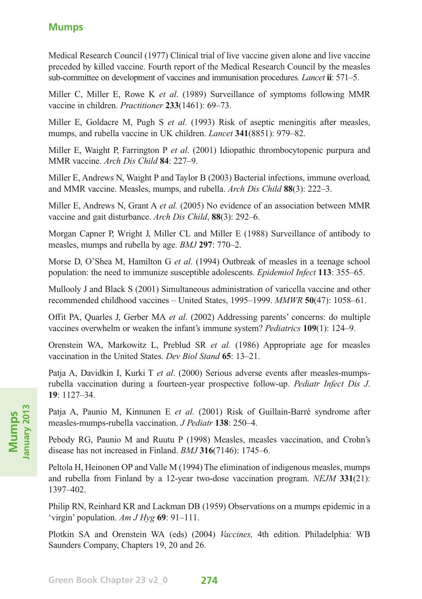Medical Research Council (1977) Clinical trial of live vaccine given alone and live vaccine preceded by killed vaccine. Fourth report of the Medical Research Council by the measles sub-committee on development of vaccines and immunisation procedures. *Lancet* **ii**: 571–5.

Miller C, Miller E, Rowe K *et al*. (1989) Surveillance of symptoms following MMR vaccine in children. *Practitioner* **233**(1461): 69–73.

Miller E, Goldacre M, Pugh S *et al*. (1993) Risk of aseptic meningitis after measles, mumps, and rubella vaccine in UK children. *Lancet* **341**(8851): 979–82.

Miller E, Waight P, Farrington P *et al*. (2001) Idiopathic thrombocytopenic purpura and MMR vaccine. *Arch Dis Child* **84**: 227–9.

Miller E, Andrews N, Waight P and Taylor B (2003) Bacterial infections, immune overload, and MMR vaccine. Measles, mumps, and rubella. *Arch Dis Child* **88**(3): 222–3.

Miller E, Andrews N, Grant A *et al.* (2005) No evidence of an association between MMR vaccine and gait disturbance. *Arch Dis Child*, **88**(3): 292–6.

Morgan Capner P, Wright J, Miller CL and Miller E (1988) Surveillance of antibody to measles, mumps and rubella by age. *BMJ* **297**: 770–2.

Morse D, O'Shea M, Hamilton G *et al*. (1994) Outbreak of measles in a teenage school population: the need to immunize susceptible adolescents. *Epidemiol Infect* **113**: 355–65.

Mullooly J and Black S (2001) Simultaneous administration of varicella vaccine and other recommended childhood vaccines – United States, 1995–1999. *MMWR* **50**(47): 1058–61.

Offit PA, Quarles J, Gerber MA *et al*. (2002) Addressing parents' concerns: do multiple vaccines overwhelm or weaken the infant's immune system? *Pediatrics* **109**(1): 124–9.

Orenstein WA, Markowitz L, Preblud SR *et al.* (1986) Appropriate age for measles vaccination in the United States. *Dev Biol Stand* **65**: 13–21.

Patja A, Davidkin I, Kurki T *et al*. (2000) Serious adverse events after measles-mumpsrubella vaccination during a fourteen-year prospective follow-up. *Pediatr Infect Dis J*. **19**: 1127–34.

Patja A, Paunio M, Kinnunen E *et al.* (2001) Risk of Guillain-Barré syndrome after measles-mumps-rubella vaccination. *J Pediatr* **138**: 250–4.

Pebody RG, Paunio M and Ruutu P (1998) Measles, measles vaccination, and Crohn's disease has not increased in Finland. *BMJ* **316**(7146): 1745–6.

Peltola H, Heinonen OP and Valle M (1994) The elimination of indigenous measles, mumps and rubella from Finland by a 12-year two-dose vaccination program. *NEJM* **331**(21): 1397–402.

Philip RN, Reinhard KR and Lackman DB (1959) Observations on a mumps epidemic in a 'virgin' population. *Am J Hyg* **69**: 91–111.

Plotkin SA and Orenstein WA (eds) (2004) *Vaccines,* 4th edition. Philadelphia: WB Saunders Company, Chapters 19, 20 and 26.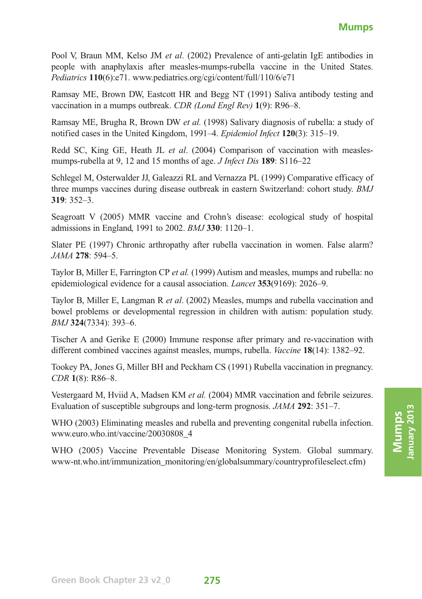Pool V, Braun MM, Kelso JM *et al*. (2002) Prevalence of anti-gelatin IgE antibodies in people with anaphylaxis after measles-mumps-rubella vaccine in the United States. *Pediatrics* **110**(6):e71. www.pediatrics.org/cgi/content/full/110/6/e71

Ramsay ME, Brown DW, Eastcott HR and Begg NT (1991) Saliva antibody testing and vaccination in a mumps outbreak. *CDR (Lond Engl Rev)* **1**(9): R96–8.

Ramsay ME, Brugha R, Brown DW *et al.* (1998) Salivary diagnosis of rubella: a study of notified cases in the United Kingdom, 1991–4. *Epidemiol Infect* **120**(3): 315–19.

Redd SC, King GE, Heath JL *et al*. (2004) Comparison of vaccination with measlesmumps-rubella at 9, 12 and 15 months of age. *J Infect Dis* **189**: S116–22

Schlegel M, Osterwalder JJ, Galeazzi RL and Vernazza PL (1999) Comparative efficacy of three mumps vaccines during disease outbreak in eastern Switzerland: cohort study. *BMJ* **319**: 352–3.

Seagroatt V (2005) MMR vaccine and Crohn's disease: ecological study of hospital admissions in England, 1991 to 2002. *BMJ* **330**: 1120–1.

Slater PE (1997) Chronic arthropathy after rubella vaccination in women. False alarm? *JAMA* **278**: 594–5.

Taylor B, Miller E, Farrington CP *et al.* (1999) Autism and measles, mumps and rubella: no epidemiological evidence for a causal association. *Lancet* **353**(9169): 2026–9.

Taylor B, Miller E, Langman R *et al*. (2002) Measles, mumps and rubella vaccination and bowel problems or developmental regression in children with autism: population study. *BMJ* **324**(7334): 393–6.

Tischer A and Gerike E (2000) Immune response after primary and re-vaccination with different combined vaccines against measles, mumps, rubella. *Vaccine* **18**(14): 1382–92.

Tookey PA, Jones G, Miller BH and Peckham CS (1991) Rubella vaccination in pregnancy. *CDR* **1**(8): R86–8.

Vestergaard M, Hviid A, Madsen KM *et al.* (2004) MMR vaccination and febrile seizures. Evaluation of susceptible subgroups and long-term prognosis. *JAMA* **292**: 351–7.

WHO (2003) Eliminating measles and rubella and preventing congenital rubella infection. www.euro.who.int/vaccine/20030808\_4

WHO (2005) Vaccine Preventable Disease Monitoring System. Global summary. www-nt.who.int/immunization\_monitoring/en/globalsummary/countryprofileselect.cfm)

**Mumps**<br>January 2013 **January 2013**